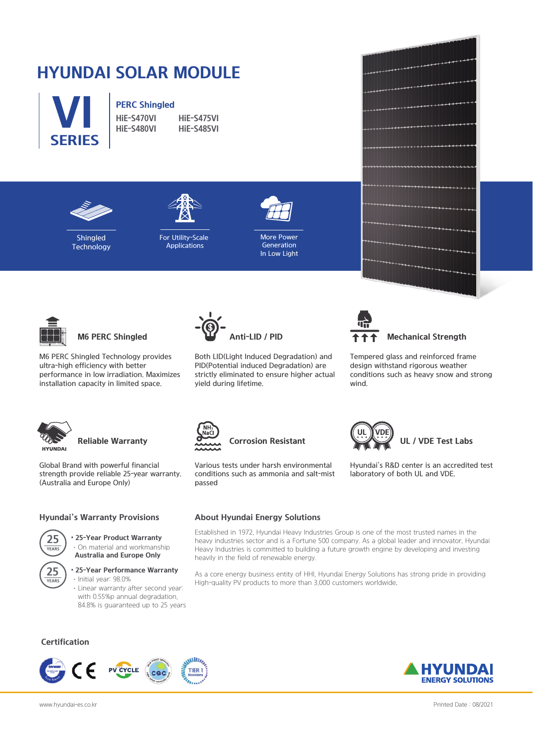# **HYUNDAI SOLAR MODULE**



# **PERC Shingled**<br>HiF-S470VI

**HiE-S470VI HiE-S475VI HiE-S480VI HiE-S485VI**





**Shingled Technology** 

For Utility-Scale Applications



More Power Generation In Low Light



**M6 PERC Shingled**

M6 PERC Shingled Technology provides ultra-high efficiency with better performance in low irradiation. Maximizes installation capacity in limited space.



Both LID(Light Induced Degradation) and PID(Potential induced Degradation) are strictly eliminated to ensure higher actual yield during lifetime.



#### **Mechanical Strength**

Tempered glass and reinforced frame design withstand rigorous weather conditions such as heavy snow and strong wind.

Hyundai's R&D center is an accredited test

**UL / VDE Test Labs**

laboratory of both UL and VDE.



# **Reliable Warranty**

Global Brand with powerful financial strength provide reliable 25-year warranty. (Australia and Europe Only)

#### **Hyundai's Warranty Provisions**

• **25-Year Product Warranty** ·On material and workmanship **25 Australia and Europe Only**



### • **25-Year Performance Warranty**

·Initial year: 98.0% ·Linear warranty after second year: with 0.55%p annual degradation, 84.8% is guaranteed up to 25 years

### **Certification**







Various tests under harsh environmental conditions such as ammonia and salt-mist passed

#### **About Hyundai Energy Solutions**

Established in 1972, Hyundai Heavy Industries Group is one of the most trusted names in the heavy industries sector and is a Fortune 500 company. As a global leader and innovator, Hyundai Heavy Industries is committed to building a future growth engine by developing and investing heavily in the field of renewable energy.

As a core energy business entity of HHI, Hyundai Energy Solutions has strong pride in providing High-quality PV products to more than 3,000 customers worldwide.